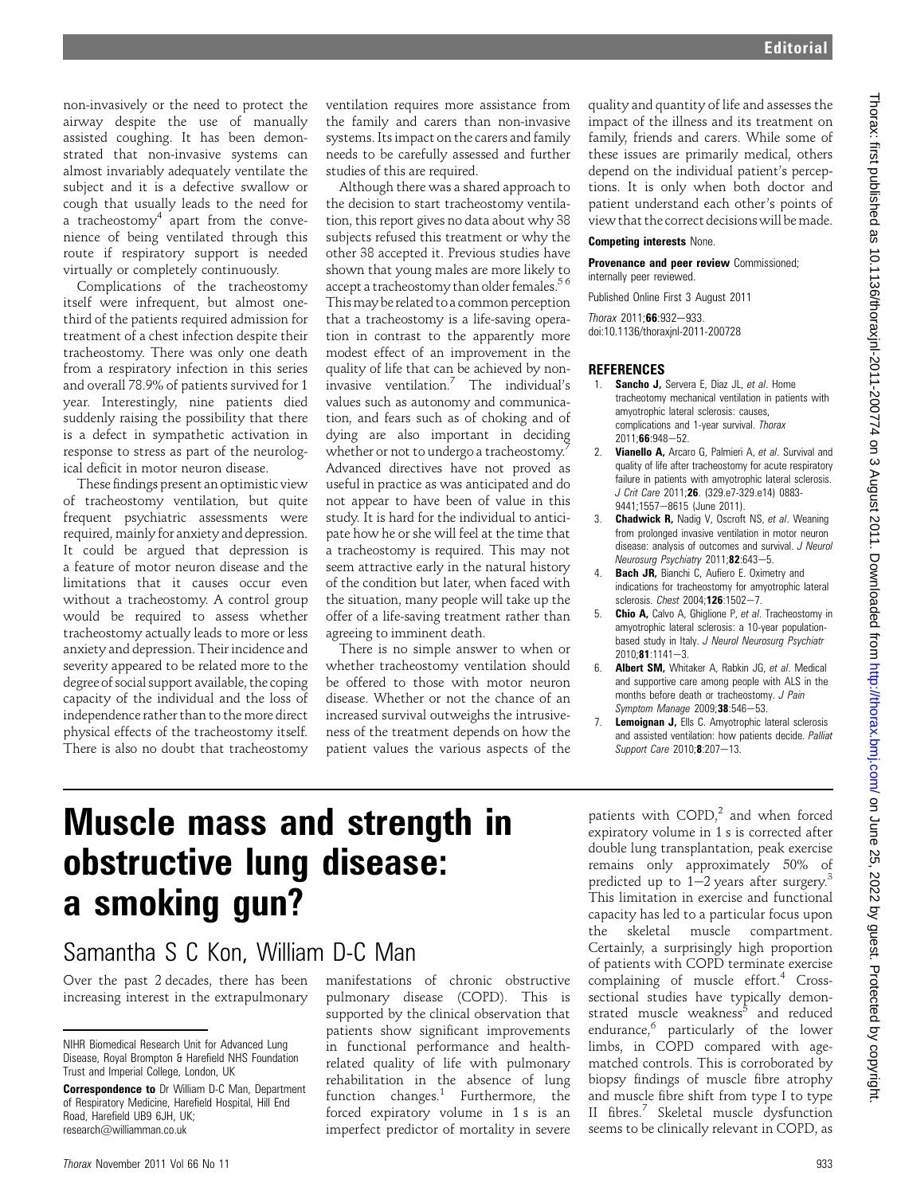non-invasively or the need to protect the airway despite the use of manually assisted coughing. It has been demonstrated that non-invasive systems can almost invariably adequately ventilate the subject and it is a defective swallow or cough that usually leads to the need for a tracheostomy<sup>4</sup> apart from the convenience of being ventilated through this route if respiratory support is needed virtually or completely continuously.

Complications of the tracheostomy itself were infrequent, but almost onethird of the patients required admission for treatment of a chest infection despite their tracheostomy. There was only one death from a respiratory infection in this series and overall 78.9% of patients survived for 1 year. Interestingly, nine patients died suddenly raising the possibility that there is a defect in sympathetic activation in response to stress as part of the neurological deficit in motor neuron disease.

These findings present an optimistic view of tracheostomy ventilation, but quite frequent psychiatric assessments were required, mainly for anxiety and depression. It could be argued that depression is a feature of motor neuron disease and the limitations that it causes occur even without a tracheostomy. A control group would be required to assess whether tracheostomy actually leads to more or less anxiety and depression. Their incidence and severity appeared to be related more to the degree of social support available, the coping capacity of the individual and the loss of independence rather than to the more direct physical effects of the tracheostomy itself. There is also no doubt that tracheostomy ventilation requires more assistance from the family and carers than non-invasive systems. Its impact on the carers and family needs to be carefully assessed and further studies of this are required.

Although there was a shared approach to the decision to start tracheostomy ventilation, this report gives no data about why 38 subjects refused this treatment or why the other 38 accepted it. Previous studies have shown that young males are more likely to accept a tracheostomy than older females.<sup>56</sup> Thismay be related to a common perception that a tracheostomy is a life-saving operation in contrast to the apparently more modest effect of an improvement in the quality of life that can be achieved by noninvasive ventilation.<sup>7</sup> The individual's values such as autonomy and communication, and fears such as of choking and of dying are also important in deciding whether or not to undergo a tracheostomy.<sup>7</sup> Advanced directives have not proved as useful in practice as was anticipated and do not appear to have been of value in this study. It is hard for the individual to anticipate how he or she will feel at the time that a tracheostomy is required. This may not seem attractive early in the natural history of the condition but later, when faced with the situation, many people will take up the offer of a life-saving treatment rather than agreeing to imminent death.

There is no simple answer to when or whether tracheostomy ventilation should be offered to those with motor neuron disease. Whether or not the chance of an increased survival outweighs the intrusiveness of the treatment depends on how the patient values the various aspects of the

quality and quantity of life and assesses the impact of the illness and its treatment on family, friends and carers. While some of these issues are primarily medical, others depend on the individual patient's perceptions. It is only when both doctor and patient understand each other's points of view that the correct decisions will bemade.

#### Competing interests None.

Provenance and peer review Commissioned; internally peer reviewed.

Published Online First 3 August 2011  $Thorax 2011:66:932-933.$ doi:10.1136/thoraxjnl-2011-200728

#### **REFERENCES**

- 1. **Sancho J,** Servera E, Diaz JL, et al. Home tracheotomy mechanical ventilation in patients with amyotrophic lateral sclerosis: causes, complications and 1-year survival. Thorax  $2011.66.948 - 52.$
- 2. Vianello A, Arcaro G, Palmieri A, et al. Survival and quality of life after tracheostomy for acute respiratory failure in patients with amyotrophic lateral sclerosis. J Crit Care 2011;26. (329.e7-329.e14) 0883- 9441;1557-8615 (June 2011).
- 3. **Chadwick R, Nadig V, Oscroft NS, et al. Weaning** from prolonged invasive ventilation in motor neuron disease: analysis of outcomes and survival. J Neurol Neurosurg Psychiatry 2011;82:643-5.
- 4. **Bach JR, Bianchi C, Aufiero E. Oximetry and** indications for tracheostomy for amyotrophic lateral sclerosis. Chest 2004;126:1502-7.
- 5. **Chio A,** Calvo A, Ghiglione P, et al. Tracheostomy in amyotrophic lateral sclerosis: a 10-year populationbased study in Italy. J Neurol Neurosurg Psychiatr  $2010:81:1141-3$ .
- 6. Albert SM, Whitaker A, Rabkin JG, et al. Medical and supportive care among people with ALS in the months before death or tracheostomy. J Pain Symptom Manage 2009;38:546-53.
- 7. Lemoignan J, Ells C. Amyotrophic lateral sclerosis and assisted ventilation: how patients decide. Palliat Support Care 2010;8:207-13.

# Muscle mass and strength in obstructive lung disease: a smoking gun?

## Samantha S C Kon, William D-C Man

Over the past 2 decades, there has been increasing interest in the extrapulmonary

manifestations of chronic obstructive pulmonary disease (COPD). This is supported by the clinical observation that patients show significant improvements in functional performance and healthrelated quality of life with pulmonary rehabilitation in the absence of lung function changes.<sup>1</sup> Furthermore, the forced expiratory volume in 1 s is an imperfect predictor of mortality in severe

patients with  $COPD<sub>i</sub><sup>2</sup>$  and when forced expiratory volume in 1 s is corrected after double lung transplantation, peak exercise remains only approximately 50% of predicted up to  $1-2$  years after surgery.<sup>3</sup> This limitation in exercise and functional capacity has led to a particular focus upon the skeletal muscle compartment. Certainly, a surprisingly high proportion of patients with COPD terminate exercise complaining of muscle effort.<sup>4</sup> Crosssectional studies have typically demonstrated muscle weakness<sup>5</sup> and reduced endurance, $6$  particularly of the lower limbs, in COPD compared with agematched controls. This is corroborated by biopsy findings of muscle fibre atrophy and muscle fibre shift from type I to type II fibres.<sup>7</sup> Skeletal muscle dysfunction seems to be clinically relevant in COPD, as

NIHR Biomedical Research Unit for Advanced Lung Disease, Royal Brompton & Harefield NHS Foundation Trust and Imperial College, London, UK

Correspondence to Dr William D-C Man, Department of Respiratory Medicine, Harefield Hospital, Hill End Road, Harefield UB9 6JH, UK; research@williamman.co.uk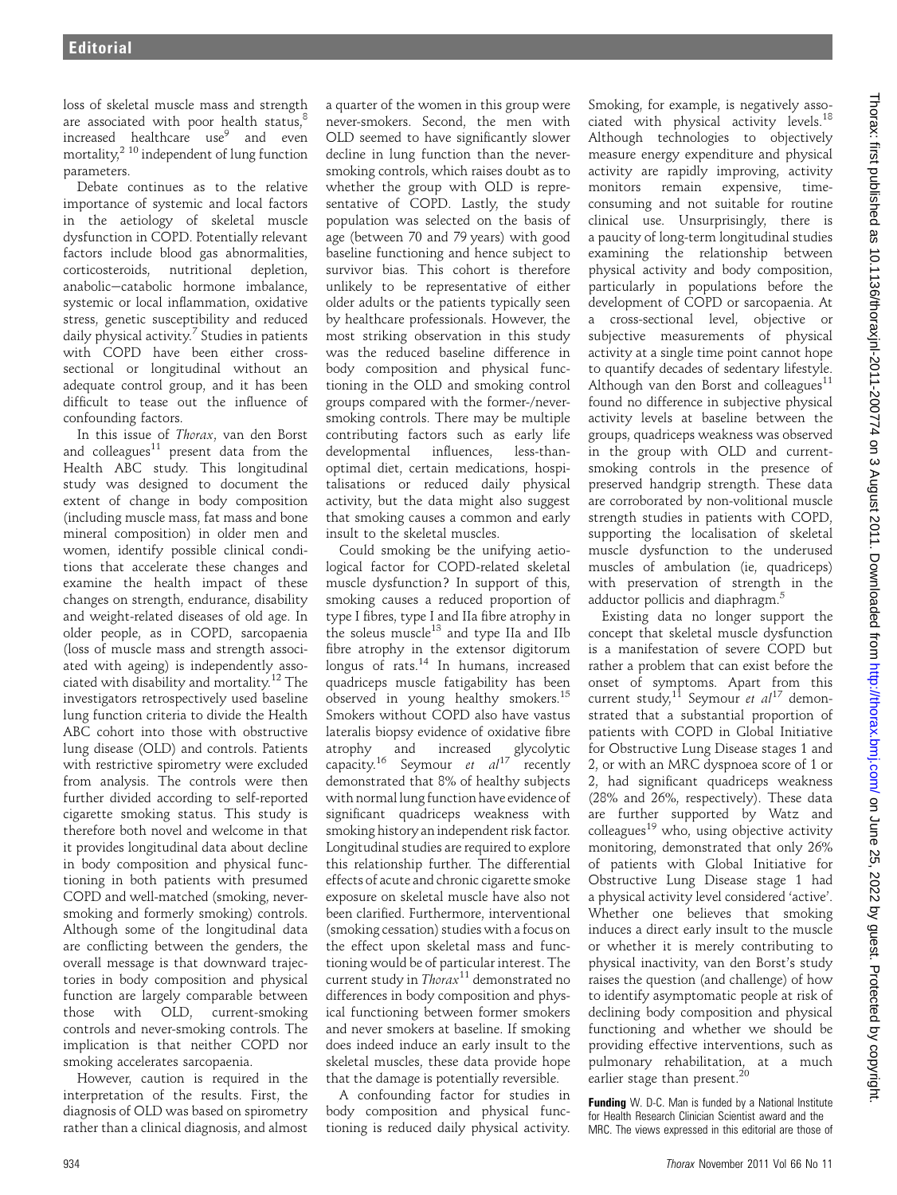loss of skeletal muscle mass and strength are associated with poor health status, $8$ increased healthcare use<sup>9</sup> and even mortality, $^{2}$  10 independent of lung function parameters.

Debate continues as to the relative importance of systemic and local factors in the aetiology of skeletal muscle dysfunction in COPD. Potentially relevant factors include blood gas abnormalities, corticosteroids, nutritional depletion, anabolic-catabolic hormone imbalance, systemic or local inflammation, oxidative stress, genetic susceptibility and reduced daily physical activity.<sup>7</sup> Studies in patients with COPD have been either crosssectional or longitudinal without an adequate control group, and it has been difficult to tease out the influence of confounding factors.

In this issue of Thorax, van den Borst and colleagues $11$  present data from the Health ABC study. This longitudinal study was designed to document the extent of change in body composition (including muscle mass, fat mass and bone mineral composition) in older men and women, identify possible clinical conditions that accelerate these changes and examine the health impact of these changes on strength, endurance, disability and weight-related diseases of old age. In older people, as in COPD, sarcopaenia (loss of muscle mass and strength associated with ageing) is independently associated with disability and mortality.<sup>12</sup> The investigators retrospectively used baseline lung function criteria to divide the Health ABC cohort into those with obstructive lung disease (OLD) and controls. Patients with restrictive spirometry were excluded from analysis. The controls were then further divided according to self-reported cigarette smoking status. This study is therefore both novel and welcome in that it provides longitudinal data about decline in body composition and physical functioning in both patients with presumed COPD and well-matched (smoking, neversmoking and formerly smoking) controls. Although some of the longitudinal data are conflicting between the genders, the overall message is that downward trajectories in body composition and physical function are largely comparable between those with OLD, current-smoking controls and never-smoking controls. The implication is that neither COPD nor smoking accelerates sarcopaenia.

However, caution is required in the interpretation of the results. First, the diagnosis of OLD was based on spirometry rather than a clinical diagnosis, and almost a quarter of the women in this group were never-smokers. Second, the men with OLD seemed to have significantly slower decline in lung function than the neversmoking controls, which raises doubt as to whether the group with OLD is representative of COPD. Lastly, the study population was selected on the basis of age (between 70 and 79 years) with good baseline functioning and hence subject to survivor bias. This cohort is therefore unlikely to be representative of either older adults or the patients typically seen by healthcare professionals. However, the most striking observation in this study was the reduced baseline difference in body composition and physical functioning in the OLD and smoking control groups compared with the former-/neversmoking controls. There may be multiple contributing factors such as early life developmental influences, less-thanoptimal diet, certain medications, hospitalisations or reduced daily physical activity, but the data might also suggest that smoking causes a common and early insult to the skeletal muscles.

Could smoking be the unifying aetiological factor for COPD-related skeletal muscle dysfunction? In support of this, smoking causes a reduced proportion of type I fibres, type I and IIa fibre atrophy in the soleus muscle<sup>13</sup> and type IIa and IIb fibre atrophy in the extensor digitorum longus of rats. $14$  In humans, increased quadriceps muscle fatigability has been observed in young healthy smokers.<sup>15</sup> Smokers without COPD also have vastus lateralis biopsy evidence of oxidative fibre atrophy and increased glycolytic capacity.<sup>16</sup> Seymour et  $al^{17}$  recently demonstrated that 8% of healthy subjects with normal lung function have evidence of significant quadriceps weakness with smoking history an independent risk factor. Longitudinal studies are required to explore this relationship further. The differential effects of acute and chronic cigarette smoke exposure on skeletal muscle have also not been clarified. Furthermore, interventional (smoking cessation) studies with a focus on the effect upon skeletal mass and functioning would be of particular interest. The current study in  $Thorax^{11}$  demonstrated no differences in body composition and physical functioning between former smokers and never smokers at baseline. If smoking does indeed induce an early insult to the skeletal muscles, these data provide hope that the damage is potentially reversible.

A confounding factor for studies in body composition and physical functioning is reduced daily physical activity.

Smoking, for example, is negatively associated with physical activity levels.<sup>18</sup> Although technologies to objectively measure energy expenditure and physical activity are rapidly improving, activity monitors remain expensive, timeconsuming and not suitable for routine clinical use. Unsurprisingly, there is a paucity of long-term longitudinal studies examining the relationship between physical activity and body composition, particularly in populations before the development of COPD or sarcopaenia. At a cross-sectional level, objective or subjective measurements of physical activity at a single time point cannot hope to quantify decades of sedentary lifestyle. Although van den Borst and colleagues<sup>11</sup> found no difference in subjective physical activity levels at baseline between the groups, quadriceps weakness was observed in the group with OLD and currentsmoking controls in the presence of preserved handgrip strength. These data are corroborated by non-volitional muscle strength studies in patients with COPD, supporting the localisation of skeletal muscle dysfunction to the underused muscles of ambulation (ie, quadriceps) with preservation of strength in the adductor pollicis and diaphragm.<sup>5</sup>

Existing data no longer support the concept that skeletal muscle dysfunction is a manifestation of severe COPD but rather a problem that can exist before the onset of symptoms. Apart from this current study,<sup>11</sup> Seymour et al<sup>17</sup> demonstrated that a substantial proportion of patients with COPD in Global Initiative for Obstructive Lung Disease stages 1 and 2, or with an MRC dyspnoea score of 1 or 2, had significant quadriceps weakness (28% and 26%, respectively). These data are further supported by Watz and  $\text{colleagues}^{19}$  who, using objective activity monitoring, demonstrated that only 26% of patients with Global Initiative for Obstructive Lung Disease stage 1 had a physical activity level considered 'active'. Whether one believes that smoking induces a direct early insult to the muscle or whether it is merely contributing to physical inactivity, van den Borst's study raises the question (and challenge) of how to identify asymptomatic people at risk of declining body composition and physical functioning and whether we should be providing effective interventions, such as pulmonary rehabilitation, at a much earlier stage than present.<sup>20</sup>

 on June 25, 2022 by guest. Protected by copyright. <http://thorax.bmj.com/> Thorax: first published as 10.1136/thoraxjnl-2011-200774 on 3 August 2011. Downloaded from Thorax: first published as 10.1136/thoraxjnl-2011-200774 on 3 August 2011. Downloaded from http://thorax.bmj.com/ on June 25, 2022 by guest. Protected by copyright Funding W. D-C. Man is funded by a National Institute for Health Research Clinician Scientist award and the MRC. The views expressed in this editorial are those of